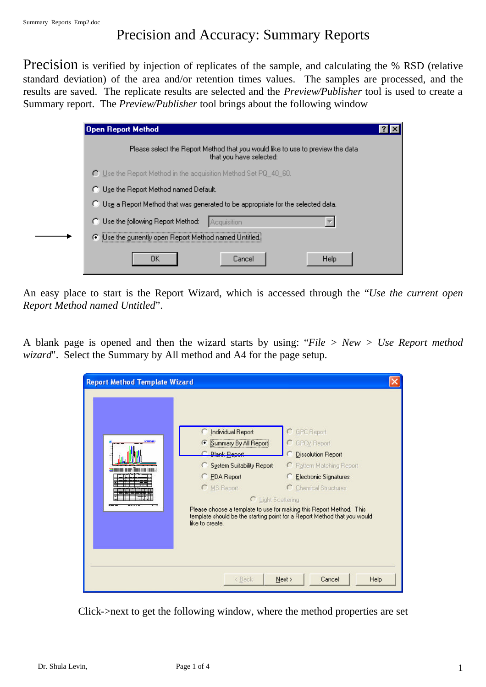## Precision and Accuracy: Summary Reports

Precision is verified by injection of replicates of the sample, and calculating the % RSD (relative standard deviation) of the area and/or retention times values. The samples are processed, and the results are saved. The replicate results are selected and the *Preview/Publisher* tool is used to create a Summary report. The *Preview/Publisher* tool brings about the following window

| Open Report Method                                                                                        |  |
|-----------------------------------------------------------------------------------------------------------|--|
| Please select the Report Method that you would like to use to preview the data<br>that you have selected: |  |
| $\bigcap$ Use the Report Method in the acquisition Method Set PQ_40_60.                                   |  |
| C Use the Report Method named Default.                                                                    |  |
| C Use a Report Method that was generated to be appropriate for the selected data.                         |  |
| C Use the following Report Method:<br>Acquisition                                                         |  |
| ○ Use the currently open Report Method named Untitled.                                                    |  |
| OΚ<br>Help<br>Cancel                                                                                      |  |

An easy place to start is the Report Wizard, which is accessed through the "*Use the current open Report Method named Untitled*".

A blank page is opened and then the wizard starts by using: "*File > New > Use Report method wizard*". Select the Summary by All method and A4 for the page setup.

| <b>Report Method Template Wizard</b> |                                                                                                                                                                                                                                                             |                                                                                                                                                                                                                       |
|--------------------------------------|-------------------------------------------------------------------------------------------------------------------------------------------------------------------------------------------------------------------------------------------------------------|-----------------------------------------------------------------------------------------------------------------------------------------------------------------------------------------------------------------------|
|                                      | Individual Report<br>C Summary By All Report<br>C. Rlank Report<br><b>C</b> System Suitability Report<br><b>C</b> PDA Report<br>C MS Report<br>C Light Scattering<br>Please choose a template to use for making this Report Method. This<br>like to create. | C GPC Report<br>C GPCV Report<br><b>Dissolution Report</b><br>C Pattern Matching Report<br>Electronic Signatures<br>C Chemical Structures<br>template should be the starting point for a Report Method that you would |
|                                      | < Back                                                                                                                                                                                                                                                      | Help<br>Next<br>Cancel                                                                                                                                                                                                |

Click->next to get the following window, where the method properties are set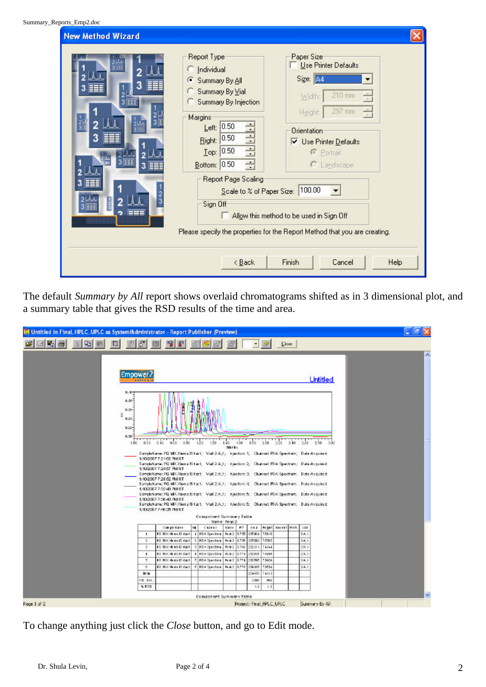| Report Type<br>Individual<br>C<br>Summary By All<br>G<br>Summary By Vial<br>Summary By Injection<br>Margins<br>÷,<br>Left: $0.50$<br> 0.50 <br>Right:<br>$I$ op: 0.50<br>÷<br>Bottom: 0.50<br>Report Page Scaling<br>Sign Off | Paper Size<br>Use Printer Defaults<br>Size: A4<br>210 mm<br>Width:<br>297 mm<br>$\frac{1}{\epsilon}$<br>Height:<br><b>Orientation</b><br><b>V</b> Use Printer Defaults<br>C Portrait<br>C Landscape<br>100.00 |                                                                                                                                                     |
|-------------------------------------------------------------------------------------------------------------------------------------------------------------------------------------------------------------------------------|---------------------------------------------------------------------------------------------------------------------------------------------------------------------------------------------------------------|-----------------------------------------------------------------------------------------------------------------------------------------------------|
| < Back                                                                                                                                                                                                                        | Finish<br>Cancel                                                                                                                                                                                              | Help                                                                                                                                                |
|                                                                                                                                                                                                                               |                                                                                                                                                                                                               | Scale to % of Paper Size:<br>Allow this method to be used in Sign Off<br>Please specify the properties for the Report Method that you are creating. |

The default *Summary by All* report shows overlaid chromatograms shifted as in 3 dimensional plot, and a summary table that gives the RSD results of the time and area.

| <b>M</b> Untitled in Final_HPLC_UPLC as System/Administrator - Report Publisher (Preview) |                                                                                  |                                                                                                                                                                                                                                                                                                                                                                                                                                                                                                                                                                                                                                                                                                                                                                                                                                 |     |                             |              |             |                          |       |                         |     |              |                 |  | $ -$ |    |
|-------------------------------------------------------------------------------------------|----------------------------------------------------------------------------------|---------------------------------------------------------------------------------------------------------------------------------------------------------------------------------------------------------------------------------------------------------------------------------------------------------------------------------------------------------------------------------------------------------------------------------------------------------------------------------------------------------------------------------------------------------------------------------------------------------------------------------------------------------------------------------------------------------------------------------------------------------------------------------------------------------------------------------|-----|-----------------------------|--------------|-------------|--------------------------|-------|-------------------------|-----|--------------|-----------------|--|------|----|
| 비행을                                                                                       |                                                                                  |                                                                                                                                                                                                                                                                                                                                                                                                                                                                                                                                                                                                                                                                                                                                                                                                                                 |     |                             |              |             |                          |       | <b>Close</b>            |     |              |                 |  |      |    |
|                                                                                           | Empower2<br><b>CREEK</b>                                                         |                                                                                                                                                                                                                                                                                                                                                                                                                                                                                                                                                                                                                                                                                                                                                                                                                                 |     |                             |              |             |                          |       |                         |     |              | <b>Untitled</b> |  |      | ۸  |
|                                                                                           | 0.10<br>0.00-<br>$0.06 -$<br>Э<br>$0.01 -$<br>0.02-<br>0.00 <sub>1</sub><br>1.00 | 0.20 0.00 0.60 0.60 1.00 1.20 1.40 1.60<br>SampleName: PO MX Xiem a IS fact; Viat 2:A,t; Injection: t; Channet PDA Spectrum; Date Acquired:<br>1/10/2007 7:21:02 PM ST<br>SampleName: PC MX Xiema IS fact; Viat 2:A,1; Injection: 2; Channel: PDA Spectrum; Date Acquired:<br>1/10/2007 7:24:57 PM IST<br>SampleName: PQ MK Xierra IS fast: Mat 2:A.1; Injection: 3; Channet PDA Spectrum; Date Arquired;<br>1/10/2007 7:28:02 PM RT<br>BampleName: PC MX Xiema ISYast: Viat 2:A.1; Injection: 4: Channet PDA Spectrum; Date Anguired;<br>1/10/2007 7:52:48 PM ST<br>SampleName: PQ MX Xiema IS fast: Vlat 2:A.1: Injection: 6: Channet PDA Spectrum: Date Asquire it<br>1/10/2007 7:38:40 PM ST<br>BampleName: PQ MDCXferra IS fast; Viat 200,1; Injection: 0; Channet PDA Spectrum; Date Arquired;<br>1/10/2007 2:40:35 PM ST |     | Component Summary Table     | <b>NECKS</b> |             | 180 200 221              |       |                         | 240 | $250 - 250$  | 3.00            |  |      |    |
|                                                                                           |                                                                                  |                                                                                                                                                                                                                                                                                                                                                                                                                                                                                                                                                                                                                                                                                                                                                                                                                                 |     |                             | Name: Peak2  |             |                          |       |                         |     |              |                 |  |      |    |
|                                                                                           | τ.                                                                               | <b>Car po same</b><br>FO NIX Xb na Ki fact   1   FO A Spectrum   Peak 2   0.750   205464                                                                                                                                                                                                                                                                                                                                                                                                                                                                                                                                                                                                                                                                                                                                        | m l | C638161                     | <b>Marie</b> | <b>KT</b>   | <b>AND</b>               | 15910 | <b>Bight</b> anona Uris |     | UDI<br>256,1 |                 |  |      |    |
|                                                                                           | $\mathbb{Z}$                                                                     | FO RDCXb rat0 fact 2 FOA Spectrus   Peak 3 0.756                                                                                                                                                                                                                                                                                                                                                                                                                                                                                                                                                                                                                                                                                                                                                                                |     |                             |              |             | 205002                   | 15361 |                         |     | 26.1         |                 |  |      |    |
|                                                                                           | $\alpha$                                                                         | FOR DESCRIPTION TO TAKE                                                                                                                                                                                                                                                                                                                                                                                                                                                                                                                                                                                                                                                                                                                                                                                                         |     | 3 FOA Spectrum              | Mai2         | 0.766       | 202511                   | 1614  |                         |     | 26.1         |                 |  |      |    |
|                                                                                           | $\ddot{\phantom{1}}$                                                             | Form of california on                                                                                                                                                                                                                                                                                                                                                                                                                                                                                                                                                                                                                                                                                                                                                                                                           |     | 4 FOX Spectrin   No.3 2     |              | 0.711       | 202629                   | 13225 |                         |     | 24.1         |                 |  |      |    |
|                                                                                           | 5.                                                                               | Für WDC Meinwirt Card                                                                                                                                                                                                                                                                                                                                                                                                                                                                                                                                                                                                                                                                                                                                                                                                           |     | 5 FOA Spectrum   Peak 3     |              | <b>a714</b> | 202005                   | 13929 |                         |     | 2:4.1        |                 |  |      |    |
|                                                                                           | ×.                                                                               | FORDOW and Start                                                                                                                                                                                                                                                                                                                                                                                                                                                                                                                                                                                                                                                                                                                                                                                                                |     | 6 FOA Spectrum Peak 2 0.716 |              |             | 209 133                  | 13538 |                         |     | 2: 6.1       |                 |  |      |    |
|                                                                                           | Mr. and                                                                          |                                                                                                                                                                                                                                                                                                                                                                                                                                                                                                                                                                                                                                                                                                                                                                                                                                 |     |                             |              |             | 204669                   | 1613  |                         |     |              |                 |  |      |    |
|                                                                                           | 148.17                                                                           |                                                                                                                                                                                                                                                                                                                                                                                                                                                                                                                                                                                                                                                                                                                                                                                                                                 |     |                             |              |             | 1509                     | 860   |                         |     |              |                 |  |      |    |
|                                                                                           | % ROD                                                                            |                                                                                                                                                                                                                                                                                                                                                                                                                                                                                                                                                                                                                                                                                                                                                                                                                                 |     |                             |              |             | 1.2                      | 1.2   |                         |     |              |                 |  |      |    |
|                                                                                           |                                                                                  |                                                                                                                                                                                                                                                                                                                                                                                                                                                                                                                                                                                                                                                                                                                                                                                                                                 |     | Component Summary Table     |              |             |                          |       |                         |     |              |                 |  |      | v. |
| Page 1 of 2                                                                               |                                                                                  |                                                                                                                                                                                                                                                                                                                                                                                                                                                                                                                                                                                                                                                                                                                                                                                                                                 |     |                             |              |             | Project: Final HPLC UPLC |       |                         |     |              | Summery By All  |  |      |    |

To change anything just click the *Close* button, and go to Edit mode.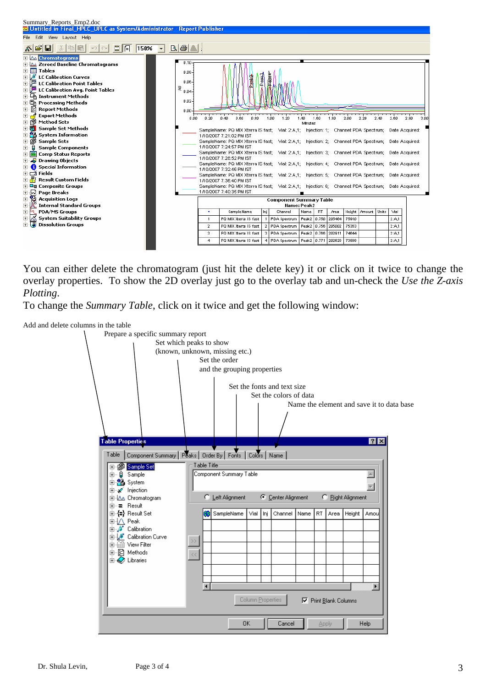

You can either delete the chromatogram (just hit the delete key) it or click on it twice to change the overlay properties. To show the 2D overlay just go to the overlay tab and un-check the *Use the Z-axis Plotting*.

To change the *Summary Table*, click on it twice and get the following window: